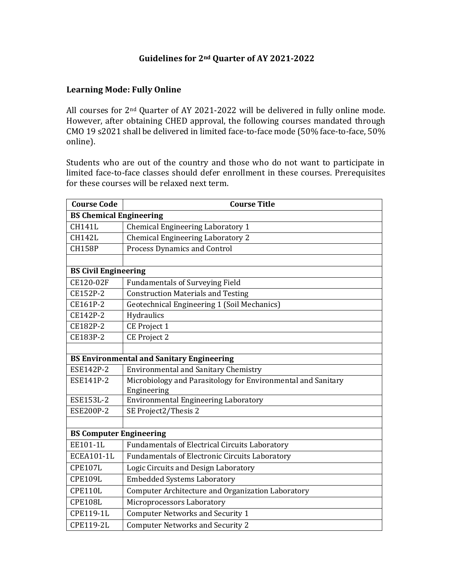# **Guidelines for 2nd Quarter of AY 2021-2022**

#### **Learning Mode: Fully Online**

All courses for 2nd Quarter of AY 2021-2022 will be delivered in fully online mode. However, after obtaining CHED approval, the following courses mandated through CMO 19 s2021 shall be delivered in limited face-to-face mode (50% face-to-face, 50% online).

Students who are out of the country and those who do not want to participate in limited face-to-face classes should defer enrollment in these courses. Prerequisites for these courses will be relaxed next term.

| <b>Course Code</b>                               | <b>Course Title</b>                                          |  |  |
|--------------------------------------------------|--------------------------------------------------------------|--|--|
| <b>BS Chemical Engineering</b>                   |                                                              |  |  |
| <b>CH141L</b>                                    | Chemical Engineering Laboratory 1                            |  |  |
| <b>CH142L</b>                                    | <b>Chemical Engineering Laboratory 2</b>                     |  |  |
| <b>CH158P</b>                                    | Process Dynamics and Control                                 |  |  |
|                                                  |                                                              |  |  |
| <b>BS Civil Engineering</b>                      |                                                              |  |  |
| CE120-02F                                        | <b>Fundamentals of Surveying Field</b>                       |  |  |
| CE152P-2                                         | <b>Construction Materials and Testing</b>                    |  |  |
| CE161P-2                                         | Geotechnical Engineering 1 (Soil Mechanics)                  |  |  |
| CE142P-2                                         | Hydraulics                                                   |  |  |
| CE182P-2                                         | CE Project 1                                                 |  |  |
| CE183P-2                                         | <b>CE Project 2</b>                                          |  |  |
|                                                  |                                                              |  |  |
| <b>BS Environmental and Sanitary Engineering</b> |                                                              |  |  |
| ESE142P-2                                        | <b>Environmental and Sanitary Chemistry</b>                  |  |  |
| ESE141P-2                                        | Microbiology and Parasitology for Environmental and Sanitary |  |  |
|                                                  | Engineering                                                  |  |  |
| ESE153L-2                                        | <b>Environmental Engineering Laboratory</b>                  |  |  |
| <b>ESE200P-2</b>                                 | SE Project2/Thesis 2                                         |  |  |
|                                                  |                                                              |  |  |
| <b>BS Computer Engineering</b>                   |                                                              |  |  |
| EE101-1L                                         | <b>Fundamentals of Electrical Circuits Laboratory</b>        |  |  |
| <b>ECEA101-1L</b>                                | <b>Fundamentals of Electronic Circuits Laboratory</b>        |  |  |
| <b>CPE107L</b>                                   | Logic Circuits and Design Laboratory                         |  |  |
| <b>CPE109L</b>                                   | <b>Embedded Systems Laboratory</b>                           |  |  |
| <b>CPE110L</b>                                   | Computer Architecture and Organization Laboratory            |  |  |
| <b>CPE108L</b>                                   | Microprocessors Laboratory                                   |  |  |
| CPE119-1L                                        | <b>Computer Networks and Security 1</b>                      |  |  |
| <b>CPE119-2L</b>                                 | <b>Computer Networks and Security 2</b>                      |  |  |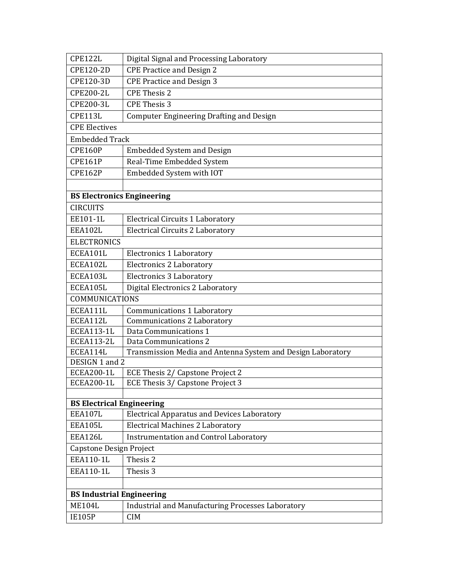| CPE122L                           | Digital Signal and Processing Laboratory                    |  |  |
|-----------------------------------|-------------------------------------------------------------|--|--|
| CPE120-2D                         | <b>CPE Practice and Design 2</b>                            |  |  |
| CPE120-3D                         | <b>CPE Practice and Design 3</b>                            |  |  |
| <b>CPE200-2L</b>                  | <b>CPE Thesis 2</b>                                         |  |  |
| CPE200-3L                         | <b>CPE Thesis 3</b>                                         |  |  |
| CPE113L                           | <b>Computer Engineering Drafting and Design</b>             |  |  |
| <b>CPE Electives</b>              |                                                             |  |  |
| <b>Embedded Track</b>             |                                                             |  |  |
| <b>CPE160P</b>                    | <b>Embedded System and Design</b>                           |  |  |
| <b>CPE161P</b>                    | Real-Time Embedded System                                   |  |  |
| <b>CPE162P</b>                    | Embedded System with IOT                                    |  |  |
|                                   |                                                             |  |  |
| <b>BS Electronics Engineering</b> |                                                             |  |  |
| <b>CIRCUITS</b>                   |                                                             |  |  |
| EE101-1L                          | <b>Electrical Circuits 1 Laboratory</b>                     |  |  |
| EEA102L                           | <b>Electrical Circuits 2 Laboratory</b>                     |  |  |
| <b>ELECTRONICS</b>                |                                                             |  |  |
| ECEA101L                          | <b>Electronics 1 Laboratory</b>                             |  |  |
| ECEA102L                          | <b>Electronics 2 Laboratory</b>                             |  |  |
| ECEA103L                          | <b>Electronics 3 Laboratory</b>                             |  |  |
| ECEA105L                          | Digital Electronics 2 Laboratory                            |  |  |
| <b>COMMUNICATIONS</b>             |                                                             |  |  |
| ECEA111L                          | Communications 1 Laboratory                                 |  |  |
| ECEA112L                          | Communications 2 Laboratory                                 |  |  |
| <b>ECEA113-1L</b>                 | Data Communications 1                                       |  |  |
| <b>ECEA113-2L</b>                 | Data Communications 2                                       |  |  |
| ECEA114L                          | Transmission Media and Antenna System and Design Laboratory |  |  |
| DESIGN 1 and 2                    |                                                             |  |  |
| <b>ECEA200-1L</b>                 | ECE Thesis 2/ Capstone Project 2                            |  |  |
| ECEA200-1L                        | ECE Thesis 3/ Capstone Project 3                            |  |  |
|                                   |                                                             |  |  |
| EEA107L                           | <b>BS Electrical Engineering</b>                            |  |  |
| EEA105L                           | <b>Electrical Apparatus and Devices Laboratory</b>          |  |  |
| EEA126L                           | <b>Electrical Machines 2 Laboratory</b>                     |  |  |
|                                   | <b>Instrumentation and Control Laboratory</b>               |  |  |
| EEA110-1L                         | Capstone Design Project                                     |  |  |
|                                   | Thesis 2                                                    |  |  |
| EEA110-1L                         | Thesis 3                                                    |  |  |
|                                   |                                                             |  |  |
| <b>BS Industrial Engineering</b>  |                                                             |  |  |
| <b>ME104L</b>                     | <b>Industrial and Manufacturing Processes Laboratory</b>    |  |  |
| <b>IE105P</b>                     | <b>CIM</b>                                                  |  |  |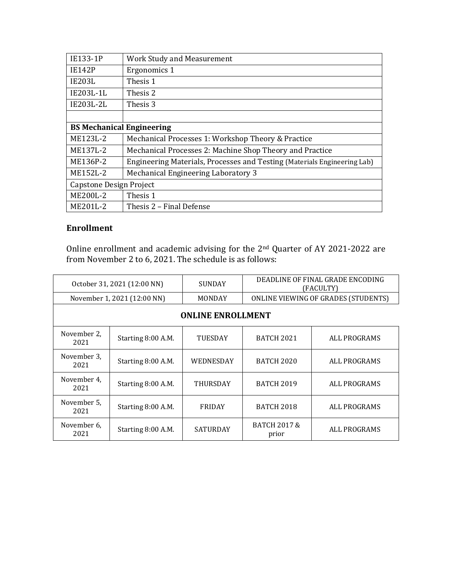| IE133-1P                         | <b>Work Study and Measurement</b>                                        |  |
|----------------------------------|--------------------------------------------------------------------------|--|
| <b>IE142P</b>                    | Ergonomics 1                                                             |  |
| <b>IE203L</b>                    | Thesis 1                                                                 |  |
| IE203L-1L                        | Thesis 2                                                                 |  |
| IE203L-2L                        | Thesis 3                                                                 |  |
|                                  |                                                                          |  |
| <b>BS Mechanical Engineering</b> |                                                                          |  |
| ME123L-2                         | Mechanical Processes 1: Workshop Theory & Practice                       |  |
| ME137L-2                         | Mechanical Processes 2: Machine Shop Theory and Practice                 |  |
| ME136P-2                         | Engineering Materials, Processes and Testing (Materials Engineering Lab) |  |
| ME152L-2                         | Mechanical Engineering Laboratory 3                                      |  |
| Capstone Design Project          |                                                                          |  |
| ME200L-2                         | Thesis 1                                                                 |  |
| ME201L-2                         | Thesis 2 – Final Defense                                                 |  |

# **Enrollment**

Online enrollment and academic advising for the 2nd Quarter of AY 2021-2022 are from November 2 to 6, 2021. The schedule is as follows:

| October 31, 2021 (12:00 NN) |                    | <b>SUNDAY</b>   | DEADLINE OF FINAL GRADE ENCODING<br>(FACULTY) |              |
|-----------------------------|--------------------|-----------------|-----------------------------------------------|--------------|
| November 1, 2021 (12:00 NN) |                    | MONDAY          | ONLINE VIEWING OF GRADES (STUDENTS)           |              |
| <b>ONLINE ENROLLMENT</b>    |                    |                 |                                               |              |
| November 2,<br>2021         | Starting 8:00 A.M. | <b>TUESDAY</b>  | <b>BATCH 2021</b>                             | ALL PROGRAMS |
| November 3,<br>2021         | Starting 8:00 A.M. | WEDNESDAY       | <b>BATCH 2020</b>                             | ALL PROGRAMS |
| November 4,<br>2021         | Starting 8:00 A.M. | <b>THURSDAY</b> | <b>BATCH 2019</b>                             | ALL PROGRAMS |
| November 5,<br>2021         | Starting 8:00 A.M. | <b>FRIDAY</b>   | <b>BATCH 2018</b>                             | ALL PROGRAMS |
| November 6,<br>2021         | Starting 8:00 A.M. | <b>SATURDAY</b> | <b>BATCH 2017 &amp;</b><br>prior              | ALL PROGRAMS |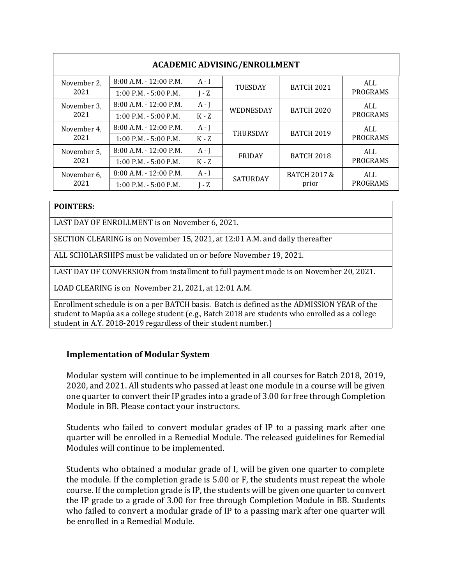| <b>ACADEMIC ADVISING/ENROLLMENT</b> |                           |         |                 |                                  |                 |
|-------------------------------------|---------------------------|---------|-----------------|----------------------------------|-----------------|
| November 2,<br>2021                 | $8:00$ A.M. $-12:00$ P.M. | $A - I$ | <b>TUESDAY</b>  | <b>BATCH 2021</b>                | ALL             |
|                                     | $1:00$ P.M. - 5:00 P.M.   | $I - Z$ |                 |                                  | PROGRAMS        |
| November 3,                         | $8:00$ A.M. - 12:00 P.M.  | $A - J$ | WEDNESDAY       | <b>BATCH 2020</b>                | ALL             |
| 2021                                | $1:00$ P.M. - 5:00 P.M.   | $K - Z$ |                 |                                  | PROGRAMS        |
| November 4,<br>2021                 | $8:00$ A.M. - 12:00 P.M.  | $A - J$ | <b>THURSDAY</b> | <b>BATCH 2019</b>                | ALL             |
|                                     | $1:00$ P.M. $-5:00$ P.M.  | $K - Z$ |                 |                                  | PROGRAMS        |
| November 5,<br>2021                 | $8:00$ A.M. $-12:00$ P.M. | $A - J$ | FRIDAY          | <b>BATCH 2018</b>                | ALL<br>PROGRAMS |
|                                     | $1:00$ P.M. $-5:00$ P.M.  | $K - Z$ |                 |                                  |                 |
| November 6,<br>2021                 | $8:00$ A.M. - 12:00 P.M.  | $A - I$ | <b>SATURDAY</b> | <b>BATCH 2017 &amp;</b><br>prior | ALL             |
|                                     | $1:00$ P.M. - 5:00 P.M.   | $I - Z$ |                 |                                  | PROGRAMS        |

#### **POINTERS:**

LAST DAY OF ENROLLMENT is on November 6, 2021.

SECTION CLEARING is on November 15, 2021, at 12:01 A.M. and daily thereafter

ALL SCHOLARSHIPS must be validated on or before November 19, 2021.

LAST DAY OF CONVERSION from installment to full payment mode is on November 20, 2021.

LOAD CLEARING is on November 21, 2021, at 12:01 A.M.

Enrollment schedule is on a per BATCH basis. Batch is defined as the ADMISSION YEAR of the student to Mapúa as a college student (e.g., Batch 2018 are students who enrolled as a college student in A.Y. 2018-2019 regardless of their student number.)

### **Implementation of Modular System**

Modular system will continue to be implemented in all courses for Batch 2018, 2019, 2020, and 2021. All students who passed at least one module in a course will be given one quarter to convert their IP grades into a grade of 3.00 for free through Completion Module in BB. Please contact your instructors.

Students who failed to convert modular grades of IP to a passing mark after one quarter will be enrolled in a Remedial Module. The released guidelines for Remedial Modules will continue to be implemented.

Students who obtained a modular grade of I, will be given one quarter to complete the module. If the completion grade is 5.00 or F, the students must repeat the whole course. If the completion grade is IP, the students will be given one quarter to convert the IP grade to a grade of 3.00 for free through Completion Module in BB. Students who failed to convert a modular grade of IP to a passing mark after one quarter will be enrolled in a Remedial Module.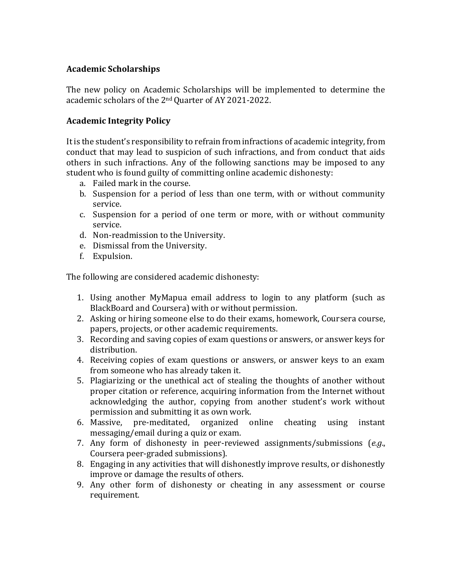### **Academic Scholarships**

The new policy on Academic Scholarships will be implemented to determine the academic scholars of the 2<sup>nd</sup> Quarter of AY 2021-2022.

### **Academic Integrity Policy**

It is the student's responsibility to refrain from infractions of academic integrity, from conduct that may lead to suspicion of such infractions, and from conduct that aids others in such infractions. Any of the following sanctions may be imposed to any student who is found guilty of committing online academic dishonesty:

- a. Failed mark in the course.
- b. Suspension for a period of less than one term, with or without community service.
- c. Suspension for a period of one term or more, with or without community service.
- d. Non-readmission to the University.
- e. Dismissal from the University.
- f. Expulsion.

The following are considered academic dishonesty:

- 1. Using another MyMapua email address to login to any platform (such as BlackBoard and Coursera) with or without permission.
- 2. Asking or hiring someone else to do their exams, homework, Coursera course, papers, projects, or other academic requirements.
- 3. Recording and saving copies of exam questions or answers, or answer keys for distribution.
- 4. Receiving copies of exam questions or answers, or answer keys to an exam from someone who has already taken it.
- 5. Plagiarizing or the unethical act of stealing the thoughts of another without proper citation or reference, acquiring information from the Internet without acknowledging the author, copying from another student's work without permission and submitting it as own work.
- 6. Massive, pre-meditated, organized online cheating using instant messaging/email during a quiz or exam.
- 7. Any form of dishonesty in peer-reviewed assignments/submissions (*e.g*., Coursera peer-graded submissions).
- 8. Engaging in any activities that will dishonestly improve results, or dishonestly improve or damage the results of others.
- 9. Any other form of dishonesty or cheating in any assessment or course requirement.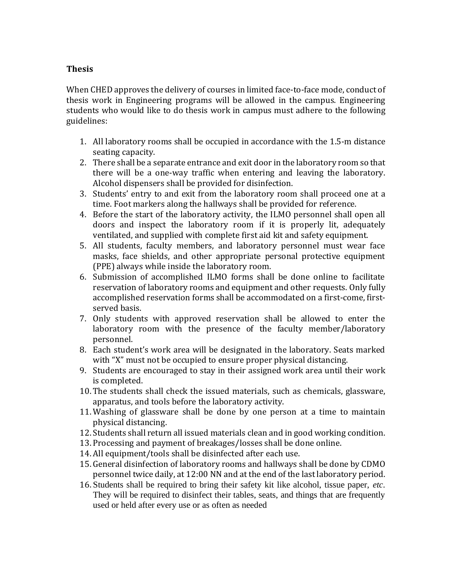## **Thesis**

When CHED approves the delivery of courses in limited face-to-face mode, conduct of thesis work in Engineering programs will be allowed in the campus. Engineering students who would like to do thesis work in campus must adhere to the following guidelines:

- 1. All laboratory rooms shall be occupied in accordance with the 1.5-m distance seating capacity.
- 2. There shall be a separate entrance and exit door in the laboratory room so that there will be a one-way traffic when entering and leaving the laboratory. Alcohol dispensers shall be provided for disinfection.
- 3. Students' entry to and exit from the laboratory room shall proceed one at a time. Foot markers along the hallways shall be provided for reference.
- 4. Before the start of the laboratory activity, the ILMO personnel shall open all doors and inspect the laboratory room if it is properly lit, adequately ventilated, and supplied with complete first aid kit and safety equipment.
- 5. All students, faculty members, and laboratory personnel must wear face masks, face shields, and other appropriate personal protective equipment (PPE) always while inside the laboratory room.
- 6. Submission of accomplished ILMO forms shall be done online to facilitate reservation of laboratory rooms and equipment and other requests. Only fully accomplished reservation forms shall be accommodated on a first-come, firstserved basis.
- 7. Only students with approved reservation shall be allowed to enter the laboratory room with the presence of the faculty member/laboratory personnel.
- 8. Each student's work area will be designated in the laboratory. Seats marked with "X" must not be occupied to ensure proper physical distancing.
- 9. Students are encouraged to stay in their assigned work area until their work is completed.
- 10. The students shall check the issued materials, such as chemicals, glassware, apparatus, and tools before the laboratory activity.
- 11. Washing of glassware shall be done by one person at a time to maintain physical distancing.
- 12.Students shall return all issued materials clean and in good working condition.
- 13. Processing and payment of breakages/losses shall be done online.
- 14. All equipment/tools shall be disinfected after each use.
- 15. General disinfection of laboratory rooms and hallways shall be done by CDMO personnel twice daily, at 12:00 NN and at the end of the last laboratory period.
- 16. Students shall be required to bring their safety kit like alcohol, tissue paper, *etc*. They will be required to disinfect their tables, seats, and things that are frequently used or held after every use or as often as needed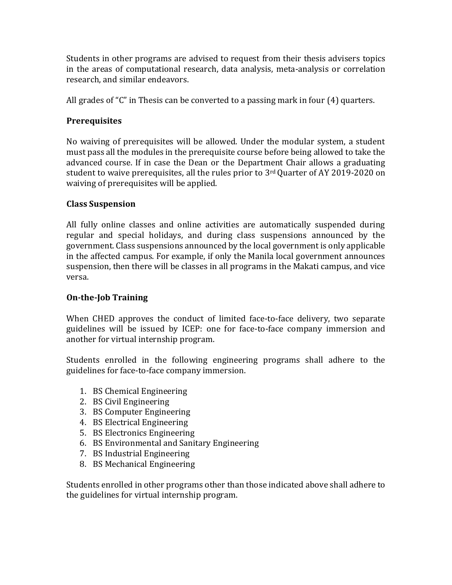Students in other programs are advised to request from their thesis advisers topics in the areas of computational research, data analysis, meta-analysis or correlation research, and similar endeavors.

All grades of "C" in Thesis can be converted to a passing mark in four (4) quarters.

# **Prerequisites**

No waiving of prerequisites will be allowed. Under the modular system, a student must pass all the modules in the prerequisite course before being allowed to take the advanced course. If in case the Dean or the Department Chair allows a graduating student to waive prerequisites, all the rules prior to 3rd Quarter of AY 2019-2020 on waiving of prerequisites will be applied.

## **Class Suspension**

All fully online classes and online activities are automatically suspended during regular and special holidays, and during class suspensions announced by the government. Class suspensions announced by the local government is only applicable in the affected campus. For example, if only the Manila local government announces suspension, then there will be classes in all programs in the Makati campus, and vice versa.

# **On-the-Job Training**

When CHED approves the conduct of limited face-to-face delivery, two separate guidelines will be issued by ICEP: one for face-to-face company immersion and another for virtual internship program.

Students enrolled in the following engineering programs shall adhere to the guidelines for face-to-face company immersion.

- 1. BS Chemical Engineering
- 2. BS Civil Engineering
- 3. BS Computer Engineering
- 4. BS Electrical Engineering
- 5. BS Electronics Engineering
- 6. BS Environmental and Sanitary Engineering
- 7. BS Industrial Engineering
- 8. BS Mechanical Engineering

Students enrolled in other programs other than those indicated above shall adhere to the guidelines for virtual internship program.